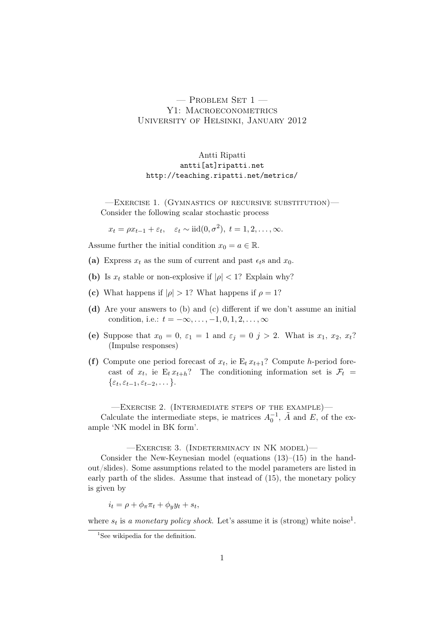## $-$  Problem Set 1  $-$ Y1: MACROECONOMETRICS University of Helsinki, January 2012

## Antti Ripatti antti[at]ripatti.net http://teaching.ripatti.net/metrics/

—Exercise 1. (Gymnastics of recursive substitution)— Consider the following scalar stochastic process

 $x_t = \rho x_{t-1} + \varepsilon_t, \quad \varepsilon_t \sim \text{iid}(0, \sigma^2), t = 1, 2, \dots, \infty.$ 

Assume further the initial condition  $x_0 = a \in \mathbb{R}$ .

- (a) Express  $x_t$  as the sum of current and past  $\epsilon_t$ s and  $x_0$ .
- (b) Is  $x_t$  stable or non-explosive if  $|\rho| < 1$ ? Explain why?
- (c) What happens if  $|\rho| > 1$ ? What happens if  $\rho = 1$ ?
- (d) Are your answers to (b) and (c) different if we don't assume an initial condition, i.e.:  $t = -\infty, \ldots, -1, 0, 1, 2, \ldots, \infty$
- (e) Suppose that  $x_0 = 0$ ,  $\varepsilon_1 = 1$  and  $\varepsilon_j = 0$  j > 2. What is  $x_1, x_2, x_t$ ? (Impulse responses)
- (f) Compute one period forecast of  $x_t$ , ie  $E_t x_{t+1}$ ? Compute h-period forecast of  $x_t$ , ie  $E_t x_{t+h}$ ? The conditioning information set is  $\mathcal{F}_t =$  $\{\varepsilon_t, \varepsilon_{t-1}, \varepsilon_{t-2}, \dots\}.$

—Exercise 2. (Intermediate steps of the example)— Calculate the intermediate steps, ie matrices  $A_0^{-1}$ ,  $\tilde{A}$  and  $E$ , of the example 'NK model in BK form'.

—Exercise 3. (Indeterminacy in NK model)—

Consider the New-Keynesian model (equations  $(13)$ – $(15)$ ) in the handout/slides). Some assumptions related to the model parameters are listed in early parth of the slides. Assume that instead of (15), the monetary policy is given by

 $i_t = \rho + \phi_\pi \pi_t + \phi_y y_t + s_t,$ 

where  $s_t$  is a monetary policy shock. Let's assume it is (strong) white noise<sup>1</sup>.

<sup>&</sup>lt;sup>1</sup>See wikipedia for the definition.